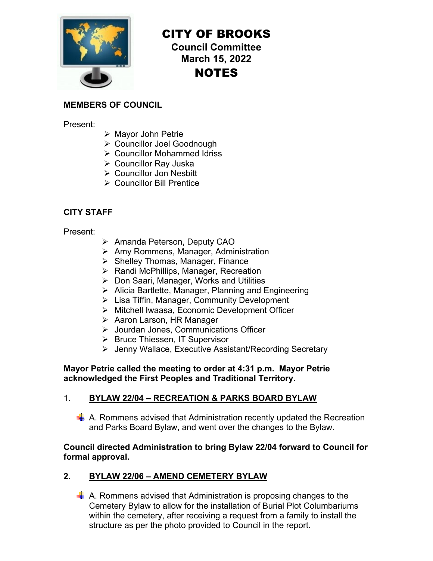

# CITY OF BROOKS

**Council Committee March 15, 2022**  NOTES

## **MEMBERS OF COUNCIL**

Present:

- Mayor John Petrie
- Councillor Joel Goodnough
- Councillor Mohammed Idriss
- Councillor Ray Juska
- Councillor Jon Nesbitt
- ▶ Councillor Bill Prentice

#### **CITY STAFF**

Present:

- ▶ Amanda Peterson, Deputy CAO
- $\triangleright$  Amy Rommens, Manager, Administration
- $\triangleright$  Shelley Thomas, Manager, Finance
- ▶ Randi McPhillips, Manager, Recreation
- Don Saari, Manager, Works and Utilities
- $\triangleright$  Alicia Bartlette, Manager, Planning and Engineering
- $\triangleright$  Lisa Tiffin, Manager, Community Development
- Mitchell Iwaasa, Economic Development Officer
- **EXAA** Aaron Larson, HR Manager
- Jourdan Jones, Communications Officer
- ▶ Bruce Thiessen, IT Supervisor
- Jenny Wallace, Executive Assistant/Recording Secretary

**Mayor Petrie called the meeting to order at 4:31 p.m. Mayor Petrie acknowledged the First Peoples and Traditional Territory.** 

#### 1. **BYLAW 22/04 – RECREATION & PARKS BOARD BYLAW**

 $\frac{1}{2}$  A. Rommens advised that Administration recently updated the Recreation and Parks Board Bylaw, and went over the changes to the Bylaw.

#### **Council directed Administration to bring Bylaw 22/04 forward to Council for formal approval.**

## **2. BYLAW 22/06 – AMEND CEMETERY BYLAW**

 A. Rommens advised that Administration is proposing changes to the Cemetery Bylaw to allow for the installation of Burial Plot Columbariums within the cemetery, after receiving a request from a family to install the structure as per the photo provided to Council in the report.